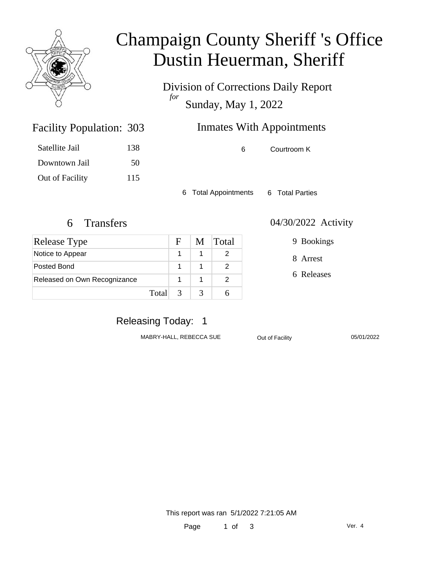

# Champaign County Sheriff 's Office Dustin Heuerman, Sheriff

Division of Corrections Daily Report *for* Sunday, May 1, 2022

| <b>Facility Population: 303</b> |     | <b>Inmates With Appointments</b> |             |  |
|---------------------------------|-----|----------------------------------|-------------|--|
| Satellite Jail                  | 138 | 6                                | Courtroom K |  |
| - Downtown Jail                 | 50  |                                  |             |  |

6 Total Appointments 6 Total Parties

Out of Facility 115

| <b>Release Type</b>          |         | F. | M | <b>Total</b> |
|------------------------------|---------|----|---|--------------|
| Notice to Appear             |         |    |   |              |
| Posted Bond                  |         |    |   |              |
| Released on Own Recognizance |         |    |   |              |
|                              | Total 3 |    |   |              |

#### 6 Transfers 04/30/2022 Activity

9 Bookings

8 Arrest

6 Releases

### Releasing Today: 1

MABRY-HALL, REBECCA SUE **Out of Facility** 05/01/2022

This report was ran 5/1/2022 7:21:05 AM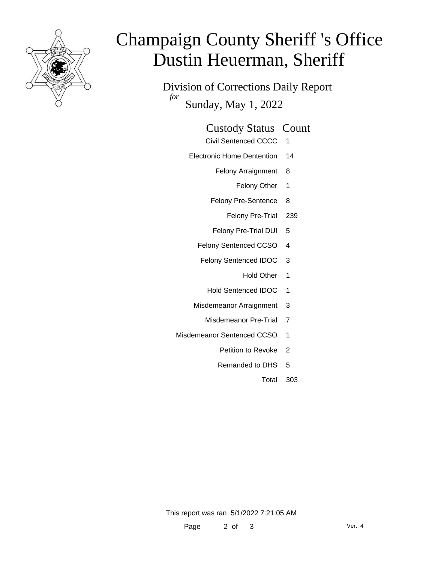

# Champaign County Sheriff 's Office Dustin Heuerman, Sheriff

Division of Corrections Daily Report *for* Sunday, May 1, 2022

#### Custody Status Count

- Civil Sentenced CCCC 1
- Electronic Home Dentention 14
	- Felony Arraignment 8
		- Felony Other 1
	- Felony Pre-Sentence 8
		- Felony Pre-Trial 239
	- Felony Pre-Trial DUI 5
	- Felony Sentenced CCSO 4
	- Felony Sentenced IDOC 3
		- Hold Other 1
		- Hold Sentenced IDOC 1
	- Misdemeanor Arraignment 3
		- Misdemeanor Pre-Trial 7
- Misdemeanor Sentenced CCSO 1
	- Petition to Revoke 2
	- Remanded to DHS 5
		- Total 303

This report was ran 5/1/2022 7:21:05 AM